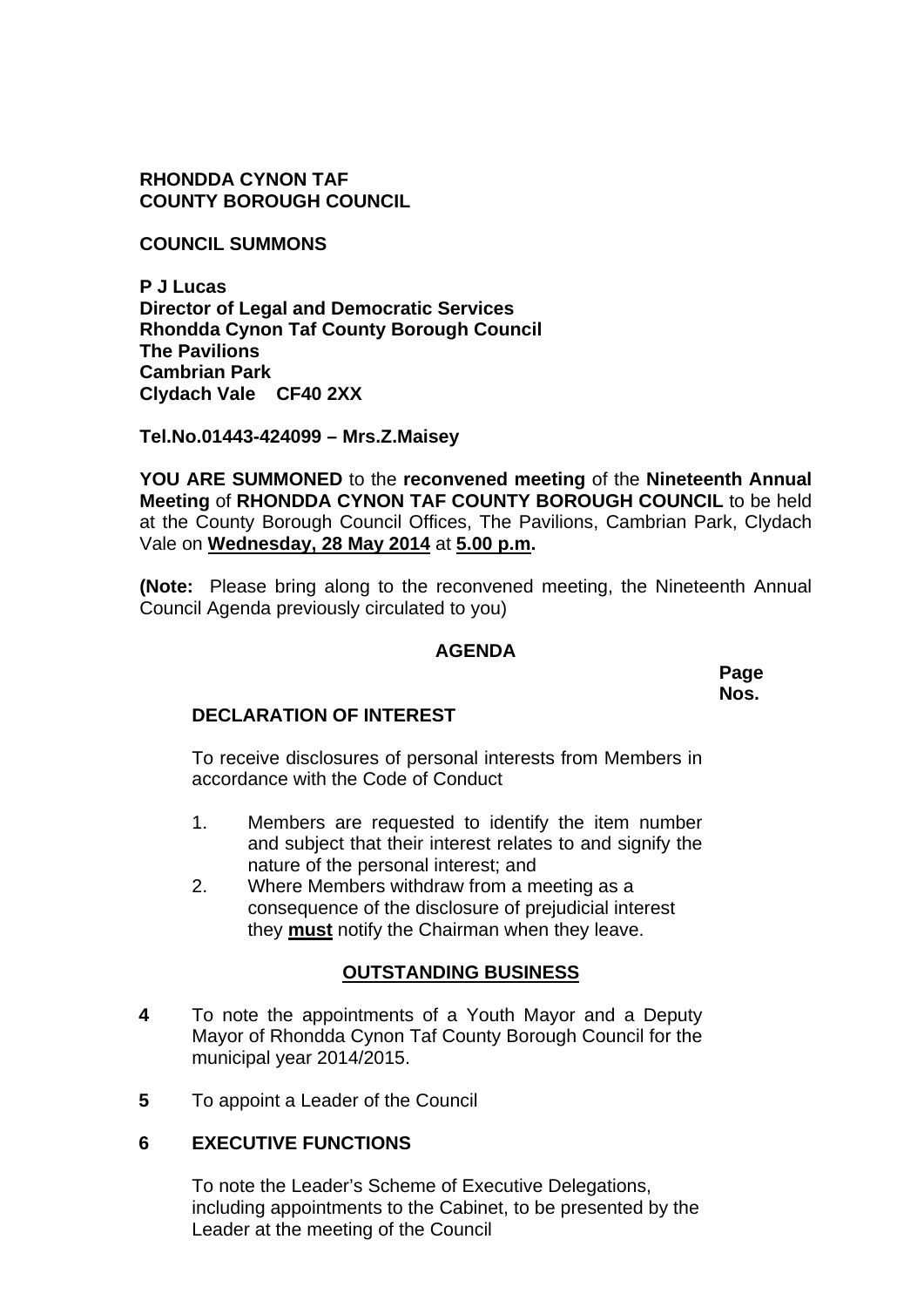**RHONDDA CYNON TAF COUNTY BOROUGH COUNCIL**

**COUNCIL SUMMONS** 

**P J Lucas Director of Legal and Democratic Services Rhondda Cynon Taf County Borough Council The Pavilions Cambrian Park Clydach Vale CF40 2XX** 

**Tel.No.01443-424099 – Mrs.Z.Maisey**

**YOU ARE SUMMONED** to the **reconvened meeting** of the **Nineteenth Annual Meeting** of **RHONDDA CYNON TAF COUNTY BOROUGH COUNCIL** to be held at the County Borough Council Offices, The Pavilions, Cambrian Park, Clydach Vale on **Wednesday, 28 May 2014** at **5.00 p.m.** 

**(Note:** Please bring along to the reconvened meeting, the Nineteenth Annual Council Agenda previously circulated to you)

# **AGENDA**

**Page Nos.** 

# **DECLARATION OF INTEREST**

To receive disclosures of personal interests from Members in accordance with the Code of Conduct

- 1. Members are requested to identify the item number and subject that their interest relates to and signify the nature of the personal interest; and
- 2. Where Members withdraw from a meeting as a consequence of the disclosure of prejudicial interest they **must** notify the Chairman when they leave.

# **OUTSTANDING BUSINESS**

- **4**  To note the appointments of a Youth Mayor and a Deputy Mayor of Rhondda Cynon Taf County Borough Council for the municipal year 2014/2015.
- **5**  To appoint a Leader of the Council

# **6 EXECUTIVE FUNCTIONS**

To note the Leader's Scheme of Executive Delegations, including appointments to the Cabinet, to be presented by the Leader at the meeting of the Council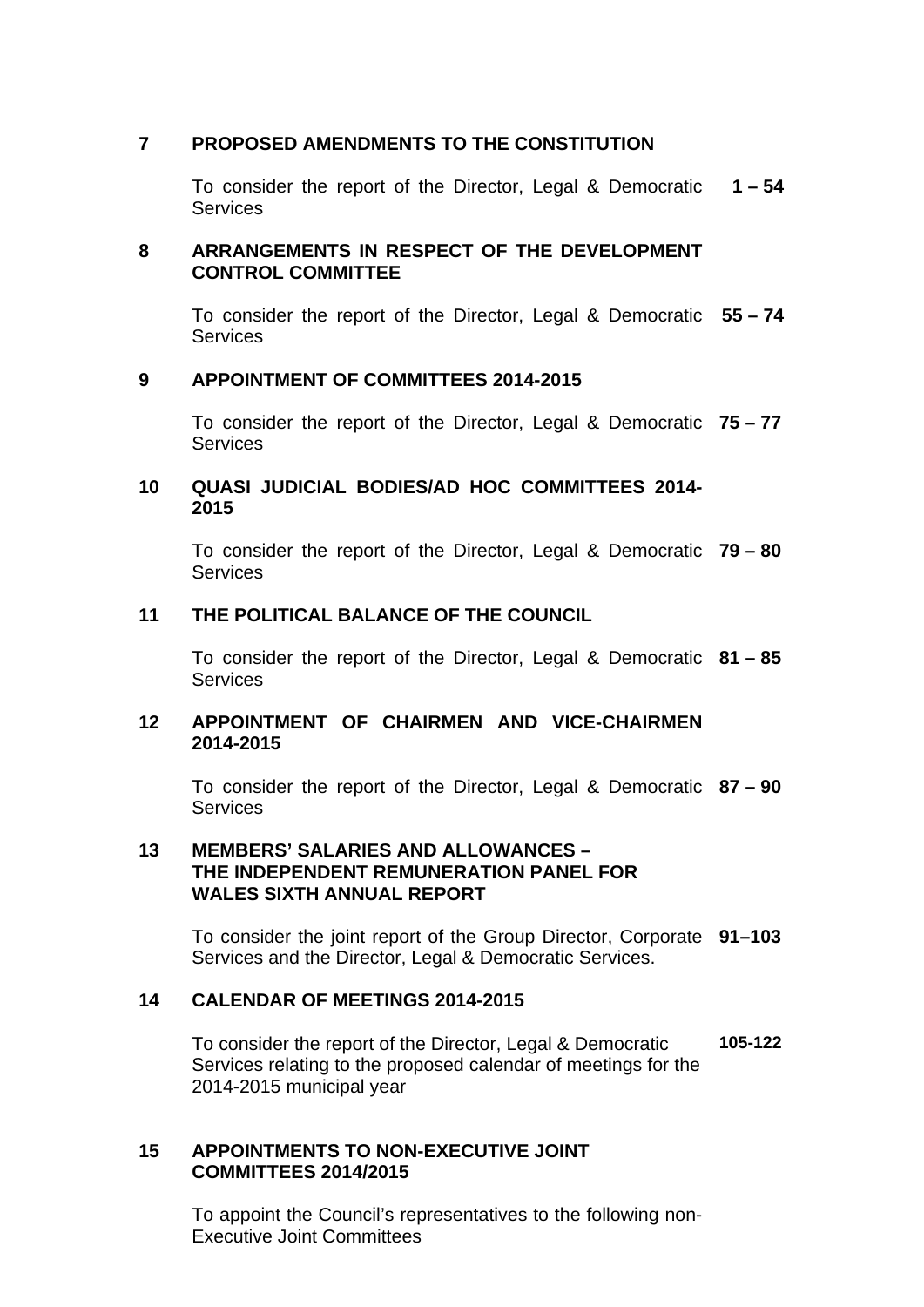### **7 PROPOSED AMENDMENTS TO THE CONSTITUTION**

To consider the report of the Director, Legal & Democratic **1 – 54 Services** 

# **8 ARRANGEMENTS IN RESPECT OF THE DEVELOPMENT CONTROL COMMITTEE**

To consider the report of the Director, Legal & Democratic **55 – 74 Services** 

#### **9 APPOINTMENT OF COMMITTEES 2014-2015**

To consider the report of the Director, Legal & Democratic **75 – 77 Services** 

#### **10 QUASI JUDICIAL BODIES/AD HOC COMMITTEES 2014- 2015**

To consider the report of the Director, Legal & Democratic **79 – 80**  Services

### **11 THE POLITICAL BALANCE OF THE COUNCIL**

To consider the report of the Director, Legal & Democratic **81 – 85 Services** 

#### **12 APPOINTMENT OF CHAIRMEN AND VICE-CHAIRMEN 2014-2015**

To consider the report of the Director, Legal & Democratic **87 – 90 Services** 

#### **13 MEMBERS' SALARIES AND ALLOWANCES – THE INDEPENDENT REMUNERATION PANEL FOR WALES SIXTH ANNUAL REPORT**

To consider the joint report of the Group Director, Corporate **91–103**  Services and the Director, Legal & Democratic Services.

# **14 CALENDAR OF MEETINGS 2014-2015**

To consider the report of the Director, Legal & Democratic Services relating to the proposed calendar of meetings for the 2014-2015 municipal year **105-122** 

# **15 APPOINTMENTS TO NON-EXECUTIVE JOINT COMMITTEES 2014/2015**

To appoint the Council's representatives to the following non-Executive Joint Committees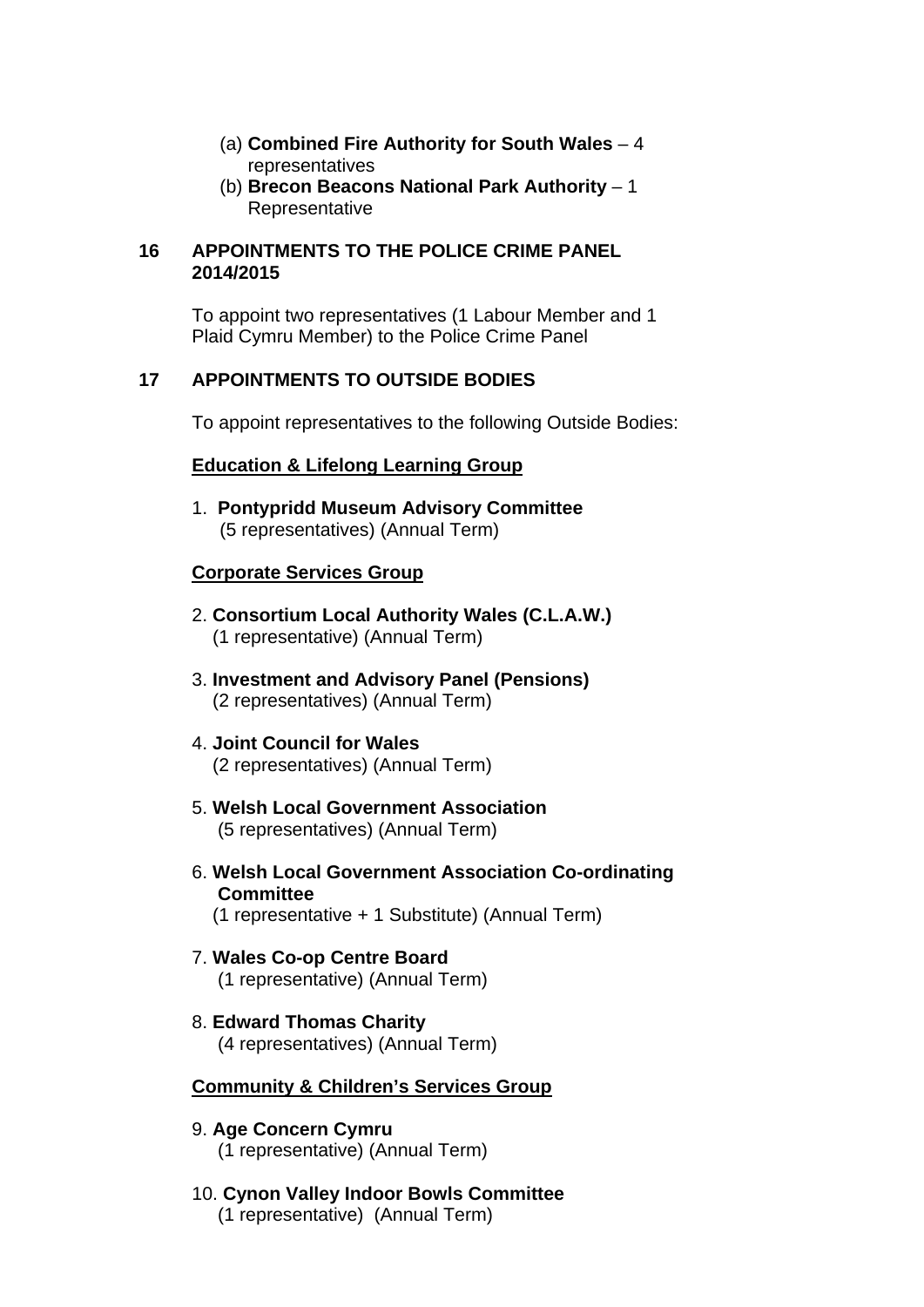- (a) **Combined Fire Authority for South Wales** 4 representatives
- (b) **Brecon Beacons National Park Authority** 1 Representative

#### **16 APPOINTMENTS TO THE POLICE CRIME PANEL 2014/2015**

To appoint two representatives (1 Labour Member and 1 Plaid Cymru Member) to the Police Crime Panel

# **17 APPOINTMENTS TO OUTSIDE BODIES**

To appoint representatives to the following Outside Bodies:

# **Education & Lifelong Learning Group**

1. **Pontypridd Museum Advisory Committee** (5 representatives) (Annual Term)

# **Corporate Services Group**

- 2. **Consortium Local Authority Wales (C.L.A.W.)**  (1 representative) (Annual Term)
- 3. **Investment and Advisory Panel (Pensions)** (2 representatives) (Annual Term)
- 4. **Joint Council for Wales** (2 representatives) (Annual Term)
- 5. **Welsh Local Government Association** (5 representatives) (Annual Term)
- 6. **Welsh Local Government Association Co-ordinating Committee** (1 representative + 1 Substitute) (Annual Term)
- 7. **Wales Co-op Centre Board** (1 representative) (Annual Term)
- 8. **Edward Thomas Charity** (4 representatives) (Annual Term)

# **Community & Children's Services Group**

- 9. **Age Concern Cymru** (1 representative) (Annual Term)
- 10. **Cynon Valley Indoor Bowls Committee**  (1 representative) (Annual Term)